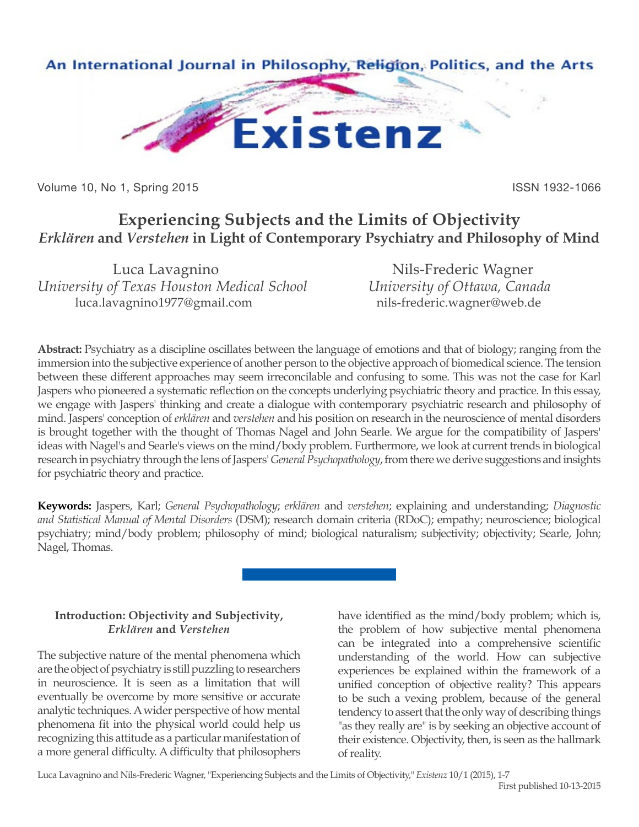

Volume 10, No 1, Spring 2015 **ISSN 1932-1066** ISSN 1932-1066

# **Experiencing Subjects and the Limits of Objectivity** *Erklären* **and** *Verstehen* **in Light of Contemporary Psychiatry and Philosophy of Mind**

Luca Lavagnino Nils-Frederic Wagner *University of Texas Houston Medical School University of Ottawa, Canada* luca.lavagnino1977@gmail.com hils-frederic.wagner@web.de

**Abstract:** Psychiatry as a discipline oscillates between the language of emotions and that of biology; ranging from the immersion into the subjective experience of another person to the objective approach of biomedical science. The tension between these different approaches may seem irreconcilable and confusing to some. This was not the case for Karl Jaspers who pioneered a systematic reflection on the concepts underlying psychiatric theory and practice. In this essay, we engage with Jaspers' thinking and create a dialogue with contemporary psychiatric research and philosophy of mind. Jaspers' conception of *erklären* and *verstehen* and his position on research in the neuroscience of mental disorders is brought together with the thought of Thomas Nagel and John Searle. We argue for the compatibility of Jaspers' ideas with Nagel's and Searle's views on the mind/body problem. Furthermore, we look at current trends in biological research in psychiatry through the lens of Jaspers' *General Psychopathology*, from there we derive suggestions and insights for psychiatric theory and practice.

**Keywords:** Jaspers, Karl; *General Psychopathology*; *erklären* and *verstehen*; explaining and understanding; *Diagnostic and Statistical Manual of Mental Disorders* (DSM); research domain criteria (RDoC); empathy; neuroscience; biological psychiatry; mind/body problem; philosophy of mind; biological naturalism; subjectivity; objectivity; Searle, John; Nagel, Thomas.

### **Introduction: Objectivity and Subjectivity,**  *Erklären* **and** *Verstehen*

The subjective nature of the mental phenomena which are the object of psychiatry is still puzzling to researchers in neuroscience. It is seen as a limitation that will eventually be overcome by more sensitive or accurate analytic techniques. A wider perspective of how mental phenomena fit into the physical world could help us recognizing this attitude as a particular manifestation of a more general difficulty. A difficulty that philosophers

have identified as the mind/body problem; which is, the problem of how subjective mental phenomena can be integrated into a comprehensive scientific understanding of the world. How can subjective experiences be explained within the framework of a unified conception of objective reality? This appears to be such a vexing problem, because of the general tendency to assert that the only way of describing things "as they really are" is by seeking an objective account of their existence. Objectivity, then, is seen as the hallmark of reality.

Luca Lavagnino and Nils-Frederic Wagner, "Experiencing Subjects and the Limits of Objectivity," *Existenz* 10/1 (2015), 1-7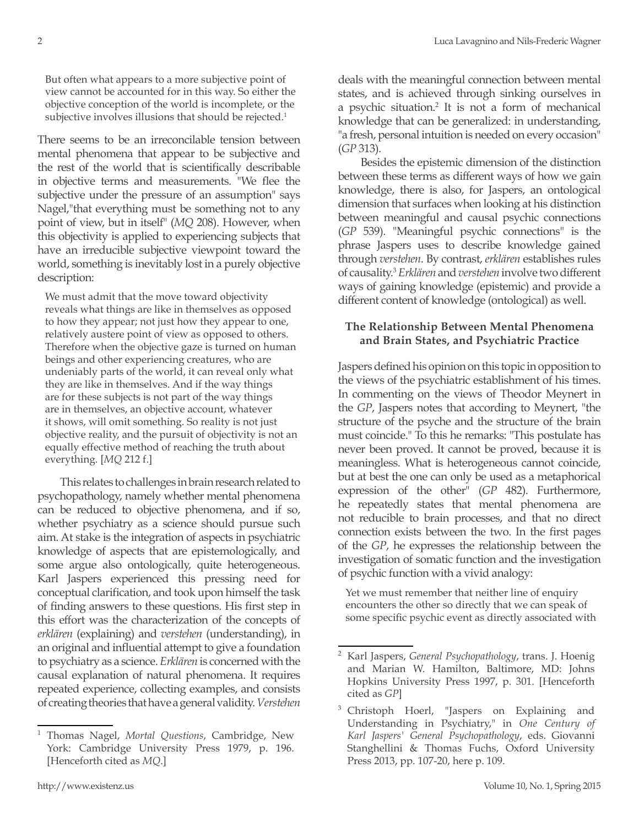But often what appears to a more subjective point of view cannot be accounted for in this way. So either the objective conception of the world is incomplete, or the subjective involves illusions that should be rejected.<sup>1</sup>

There seems to be an irreconcilable tension between mental phenomena that appear to be subjective and the rest of the world that is scientifically describable in objective terms and measurements. "We flee the subjective under the pressure of an assumption" says Nagel,"that everything must be something not to any point of view, but in itself" (*MQ* 208). However, when this objectivity is applied to experiencing subjects that have an irreducible subjective viewpoint toward the world, something is inevitably lost in a purely objective description:

We must admit that the move toward objectivity reveals what things are like in themselves as opposed to how they appear; not just how they appear to one, relatively austere point of view as opposed to others. Therefore when the objective gaze is turned on human beings and other experiencing creatures, who are undeniably parts of the world, it can reveal only what they are like in themselves. And if the way things are for these subjects is not part of the way things are in themselves, an objective account, whatever it shows, will omit something. So reality is not just objective reality, and the pursuit of objectivity is not an equally effective method of reaching the truth about everything. [*MQ* 212 f.]

This relates to challenges in brain research related to psychopathology, namely whether mental phenomena can be reduced to objective phenomena, and if so, whether psychiatry as a science should pursue such aim. At stake is the integration of aspects in psychiatric knowledge of aspects that are epistemologically, and some argue also ontologically, quite heterogeneous. Karl Jaspers experienced this pressing need for conceptual clarification, and took upon himself the task of finding answers to these questions. His first step in this effort was the characterization of the concepts of *erklären* (explaining) and *verstehen* (understanding), in an original and influential attempt to give a foundation to psychiatry as a science. *Erklären* is concerned with the causal explanation of natural phenomena. It requires repeated experience, collecting examples, and consists of creating theories that have a general validity. *Verstehen*

deals with the meaningful connection between mental states, and is achieved through sinking ourselves in a psychic situation.<sup>2</sup> It is not a form of mechanical knowledge that can be generalized: in understanding, "a fresh, personal intuition is needed on every occasion" (*GP* 313).

Besides the epistemic dimension of the distinction between these terms as different ways of how we gain knowledge, there is also, for Jaspers, an ontological dimension that surfaces when looking at his distinction between meaningful and causal psychic connections (*GP* 539). "Meaningful psychic connections" is the phrase Jaspers uses to describe knowledge gained through *verstehen*. By contrast, *erklären* establishes rules of causality.3 *Erklären* and *verstehen* involve two different ways of gaining knowledge (epistemic) and provide a different content of knowledge (ontological) as well.

#### **The Relationship Between Mental Phenomena and Brain States, and Psychiatric Practice**

Jaspers defined his opinion on this topic in opposition to the views of the psychiatric establishment of his times. In commenting on the views of Theodor Meynert in the *GP*, Jaspers notes that according to Meynert, "the structure of the psyche and the structure of the brain must coincide." To this he remarks: "This postulate has never been proved. It cannot be proved, because it is meaningless. What is heterogeneous cannot coincide, but at best the one can only be used as a metaphorical expression of the other" (*GP* 482). Furthermore, he repeatedly states that mental phenomena are not reducible to brain processes, and that no direct connection exists between the two. In the first pages of the *GP*, he expresses the relationship between the investigation of somatic function and the investigation of psychic function with a vivid analogy:

Yet we must remember that neither line of enquiry encounters the other so directly that we can speak of some specific psychic event as directly associated with

<sup>1</sup> Thomas Nagel, *Mortal Questions*, Cambridge, New York: Cambridge University Press 1979, p. 196. [Henceforth cited as *MQ*.]

<sup>2</sup> Karl Jaspers, *General Psychopathology*, trans. J. Hoenig and Marian W. Hamilton, Baltimore, MD: Johns Hopkins University Press 1997, p. 301. [Henceforth cited as *GP*]

<sup>&</sup>lt;sup>3</sup> Christoph Hoerl, "Jaspers on Explaining and Understanding in Psychiatry," in *One Century of Karl Jaspers' General Psychopathology*, eds. Giovanni Stanghellini & Thomas Fuchs, Oxford University Press 2013, pp. 107-20, here p. 109.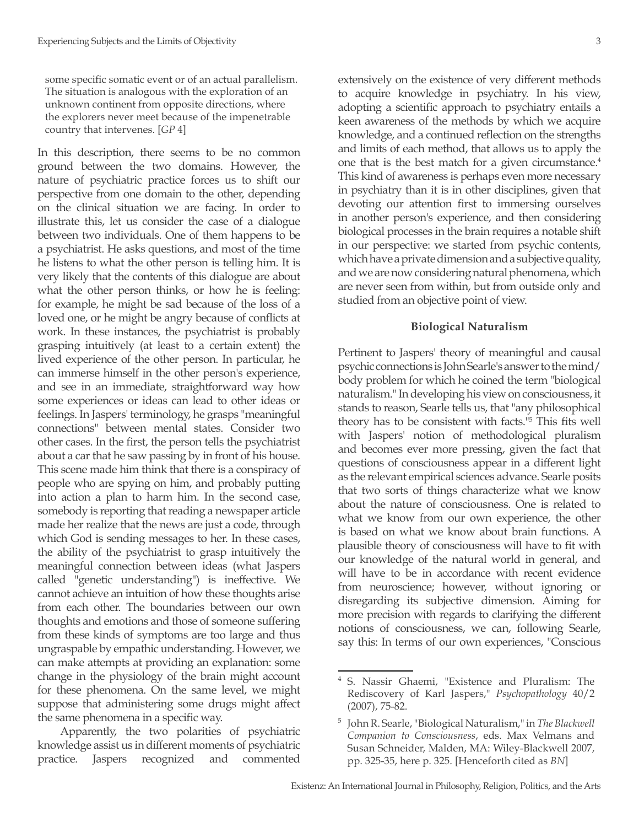some specific somatic event or of an actual parallelism. The situation is analogous with the exploration of an unknown continent from opposite directions, where the explorers never meet because of the impenetrable country that intervenes. [*GP* 4]

In this description, there seems to be no common ground between the two domains. However, the nature of psychiatric practice forces us to shift our perspective from one domain to the other, depending on the clinical situation we are facing. In order to illustrate this, let us consider the case of a dialogue between two individuals. One of them happens to be a psychiatrist. He asks questions, and most of the time he listens to what the other person is telling him. It is very likely that the contents of this dialogue are about what the other person thinks, or how he is feeling: for example, he might be sad because of the loss of a loved one, or he might be angry because of conflicts at work. In these instances, the psychiatrist is probably grasping intuitively (at least to a certain extent) the lived experience of the other person. In particular, he can immerse himself in the other person's experience, and see in an immediate, straightforward way how some experiences or ideas can lead to other ideas or feelings. In Jaspers' terminology, he grasps "meaningful connections" between mental states. Consider two other cases. In the first, the person tells the psychiatrist about a car that he saw passing by in front of his house. This scene made him think that there is a conspiracy of people who are spying on him, and probably putting into action a plan to harm him. In the second case, somebody is reporting that reading a newspaper article made her realize that the news are just a code, through which God is sending messages to her. In these cases, the ability of the psychiatrist to grasp intuitively the meaningful connection between ideas (what Jaspers called "genetic understanding") is ineffective. We cannot achieve an intuition of how these thoughts arise from each other. The boundaries between our own thoughts and emotions and those of someone suffering from these kinds of symptoms are too large and thus ungraspable by empathic understanding. However, we can make attempts at providing an explanation: some change in the physiology of the brain might account for these phenomena. On the same level, we might suppose that administering some drugs might affect the same phenomena in a specific way.

Apparently, the two polarities of psychiatric knowledge assist us in different moments of psychiatric practice. Jaspers recognized and commented extensively on the existence of very different methods to acquire knowledge in psychiatry. In his view, adopting a scientific approach to psychiatry entails a keen awareness of the methods by which we acquire knowledge, and a continued reflection on the strengths and limits of each method, that allows us to apply the one that is the best match for a given circumstance.<sup>4</sup> This kind of awareness is perhaps even more necessary in psychiatry than it is in other disciplines, given that devoting our attention first to immersing ourselves in another person's experience, and then considering biological processes in the brain requires a notable shift in our perspective: we started from psychic contents, which have a private dimension and a subjective quality, and we are now considering natural phenomena, which are never seen from within, but from outside only and studied from an objective point of view.

#### **Biological Naturalism**

Pertinent to Jaspers' theory of meaningful and causal psychic connections is John Searle's answer to the mind/ body problem for which he coined the term "biological naturalism." In developing his view on consciousness, it stands to reason, Searle tells us, that "any philosophical theory has to be consistent with facts."5 This fits well with Jaspers' notion of methodological pluralism and becomes ever more pressing, given the fact that questions of consciousness appear in a different light as the relevant empirical sciences advance. Searle posits that two sorts of things characterize what we know about the nature of consciousness. One is related to what we know from our own experience, the other is based on what we know about brain functions. A plausible theory of consciousness will have to fit with our knowledge of the natural world in general, and will have to be in accordance with recent evidence from neuroscience; however, without ignoring or disregarding its subjective dimension. Aiming for more precision with regards to clarifying the different notions of consciousness, we can, following Searle, say this: In terms of our own experiences, "Conscious

<sup>5.</sup> Nassir Ghaemi, "Existence and Pluralism: The Rediscovery of Karl Jaspers," *Psychopathology* 40/2 (2007), 75-82.

<sup>5</sup> John R. Searle, "Biological Naturalism," in *The Blackwell Companion to Consciousness*, eds. Max Velmans and Susan Schneider, Malden, MA: Wiley-Blackwell 2007, pp. 325-35, here p. 325. [Henceforth cited as *BN*]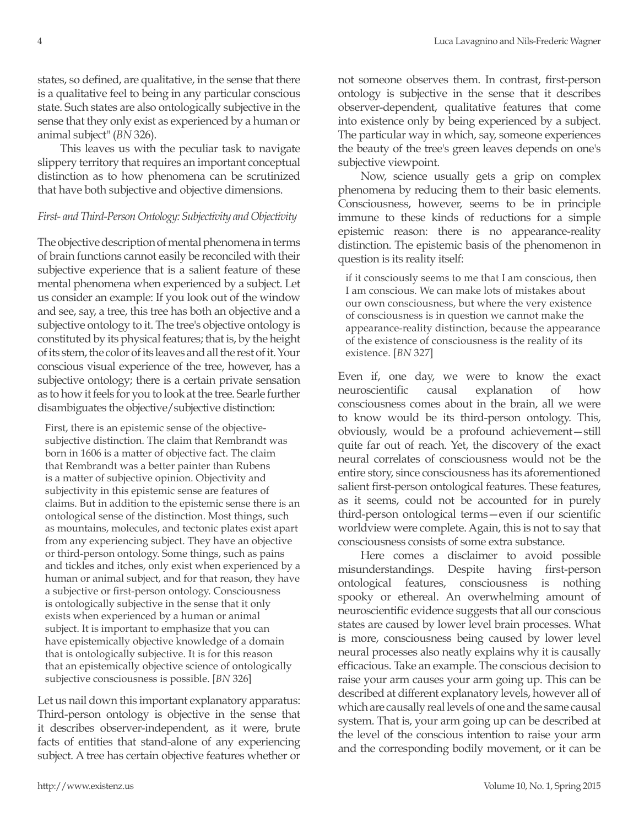states, so defined, are qualitative, in the sense that there is a qualitative feel to being in any particular conscious state. Such states are also ontologically subjective in the sense that they only exist as experienced by a human or animal subject" (*BN* 326).

This leaves us with the peculiar task to navigate slippery territory that requires an important conceptual distinction as to how phenomena can be scrutinized that have both subjective and objective dimensions.

### *First- and Third-Person Ontology: Subjectivity and Objectivity*

The objective description of mental phenomena in terms of brain functions cannot easily be reconciled with their subjective experience that is a salient feature of these mental phenomena when experienced by a subject. Let us consider an example: If you look out of the window and see, say, a tree, this tree has both an objective and a subjective ontology to it. The tree's objective ontology is constituted by its physical features; that is, by the height of its stem, the color of its leaves and all the rest of it. Your conscious visual experience of the tree, however, has a subjective ontology; there is a certain private sensation as to how it feels for you to look at the tree. Searle further disambiguates the objective/subjective distinction:

First, there is an epistemic sense of the objectivesubjective distinction. The claim that Rembrandt was born in 1606 is a matter of objective fact. The claim that Rembrandt was a better painter than Rubens is a matter of subjective opinion. Objectivity and subjectivity in this epistemic sense are features of claims. But in addition to the epistemic sense there is an ontological sense of the distinction. Most things, such as mountains, molecules, and tectonic plates exist apart from any experiencing subject. They have an objective or third-person ontology. Some things, such as pains and tickles and itches, only exist when experienced by a human or animal subject, and for that reason, they have a subjective or first-person ontology. Consciousness is ontologically subjective in the sense that it only exists when experienced by a human or animal subject. It is important to emphasize that you can have epistemically objective knowledge of a domain that is ontologically subjective. It is for this reason that an epistemically objective science of ontologically subjective consciousness is possible. [*BN* 326]

Let us nail down this important explanatory apparatus: Third-person ontology is objective in the sense that it describes observer-independent, as it were, brute facts of entities that stand-alone of any experiencing subject. A tree has certain objective features whether or not someone observes them. In contrast, first-person ontology is subjective in the sense that it describes observer-dependent, qualitative features that come into existence only by being experienced by a subject. The particular way in which, say, someone experiences the beauty of the tree's green leaves depends on one's subjective viewpoint.

Now, science usually gets a grip on complex phenomena by reducing them to their basic elements. Consciousness, however, seems to be in principle immune to these kinds of reductions for a simple epistemic reason: there is no appearance-reality distinction. The epistemic basis of the phenomenon in question is its reality itself:

if it consciously seems to me that I am conscious, then I am conscious. We can make lots of mistakes about our own consciousness, but where the very existence of consciousness is in question we cannot make the appearance-reality distinction, because the appearance of the existence of consciousness is the reality of its existence. [*BN* 327]

Even if, one day, we were to know the exact neuroscientific causal explanation of how consciousness comes about in the brain, all we were to know would be its third-person ontology. This, obviously, would be a profound achievement—still quite far out of reach. Yet, the discovery of the exact neural correlates of consciousness would not be the entire story, since consciousness has its aforementioned salient first-person ontological features. These features, as it seems, could not be accounted for in purely third-person ontological terms—even if our scientific worldview were complete. Again, this is not to say that consciousness consists of some extra substance.

Here comes a disclaimer to avoid possible misunderstandings. Despite having first-person ontological features, consciousness is nothing spooky or ethereal. An overwhelming amount of neuroscientific evidence suggests that all our conscious states are caused by lower level brain processes. What is more, consciousness being caused by lower level neural processes also neatly explains why it is causally efficacious. Take an example. The conscious decision to raise your arm causes your arm going up. This can be described at different explanatory levels, however all of which are causally real levels of one and the same causal system. That is, your arm going up can be described at the level of the conscious intention to raise your arm and the corresponding bodily movement, or it can be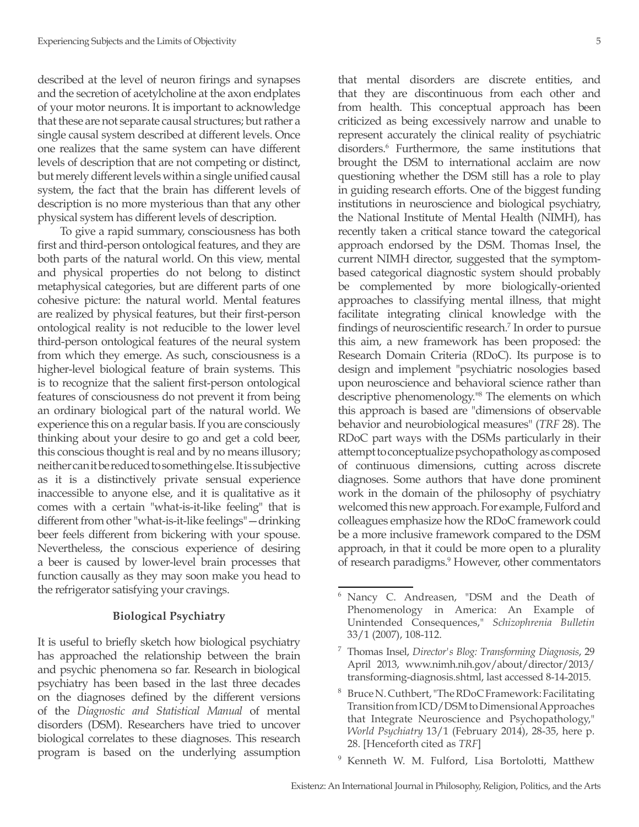described at the level of neuron firings and synapses and the secretion of acetylcholine at the axon endplates of your motor neurons. It is important to acknowledge that these are not separate causal structures; but rather a single causal system described at different levels. Once one realizes that the same system can have different levels of description that are not competing or distinct, but merely different levels within a single unified causal system, the fact that the brain has different levels of description is no more mysterious than that any other physical system has different levels of description.

To give a rapid summary, consciousness has both first and third-person ontological features, and they are both parts of the natural world. On this view, mental and physical properties do not belong to distinct metaphysical categories, but are different parts of one cohesive picture: the natural world. Mental features are realized by physical features, but their first-person ontological reality is not reducible to the lower level third-person ontological features of the neural system from which they emerge. As such, consciousness is a higher-level biological feature of brain systems. This is to recognize that the salient first-person ontological features of consciousness do not prevent it from being an ordinary biological part of the natural world. We experience this on a regular basis. If you are consciously thinking about your desire to go and get a cold beer, this conscious thought is real and by no means illusory; neither can it be reduced to something else. It is subjective as it is a distinctively private sensual experience inaccessible to anyone else, and it is qualitative as it comes with a certain "what-is-it-like feeling" that is different from other "what-is-it-like feelings"—drinking beer feels different from bickering with your spouse. Nevertheless, the conscious experience of desiring a beer is caused by lower-level brain processes that function causally as they may soon make you head to the refrigerator satisfying your cravings.

#### **Biological Psychiatry**

It is useful to briefly sketch how biological psychiatry has approached the relationship between the brain and psychic phenomena so far. Research in biological psychiatry has been based in the last three decades on the diagnoses defined by the different versions of the *Diagnostic and Statistical Manual* of mental disorders (DSM). Researchers have tried to uncover biological correlates to these diagnoses. This research program is based on the underlying assumption

that mental disorders are discrete entities, and that they are discontinuous from each other and from health. This conceptual approach has been criticized as being excessively narrow and unable to represent accurately the clinical reality of psychiatric disorders.<sup>6</sup> Furthermore, the same institutions that brought the DSM to international acclaim are now questioning whether the DSM still has a role to play in guiding research efforts. One of the biggest funding institutions in neuroscience and biological psychiatry, the National Institute of Mental Health (NIMH), has recently taken a critical stance toward the categorical approach endorsed by the DSM. Thomas Insel, the current NIMH director, suggested that the symptombased categorical diagnostic system should probably be complemented by more biologically-oriented approaches to classifying mental illness, that might facilitate integrating clinical knowledge with the findings of neuroscientific research.<sup>7</sup> In order to pursue this aim, a new framework has been proposed: the Research Domain Criteria (RDoC). Its purpose is to design and implement "psychiatric nosologies based upon neuroscience and behavioral science rather than descriptive phenomenology."8 The elements on which this approach is based are "dimensions of observable behavior and neurobiological measures" (*TRF* 28). The RDoC part ways with the DSMs particularly in their attempt to conceptualize psychopathology as composed of continuous dimensions, cutting across discrete diagnoses. Some authors that have done prominent work in the domain of the philosophy of psychiatry welcomed this new approach. For example, Fulford and colleagues emphasize how the RDoC framework could be a more inclusive framework compared to the DSM approach, in that it could be more open to a plurality of research paradigms.9 However, other commentators

- <sup>8</sup> Bruce N. Cuthbert, "The RDoC Framework: Facilitating Transition from ICD/DSM to Dimensional Approaches that Integrate Neuroscience and Psychopathology," *World Psychiatry* 13/1 (February 2014), 28-35, here p. 28. [Henceforth cited as *TRF*]
- Kenneth W. M. Fulford, Lisa Bortolotti, Matthew

<sup>6</sup> Nancy C. Andreasen, "DSM and the Death of Phenomenology in America: An Example of Unintended Consequences," *Schizophrenia Bulletin* 33/1 (2007), 108-112.

<sup>7</sup> Thomas Insel, *Director's Blog: Transforming Diagnosis*, 29 April 2013, www.nimh.nih.gov/about/director/2013/ transforming-diagnosis.shtml, last accessed 8-14-2015.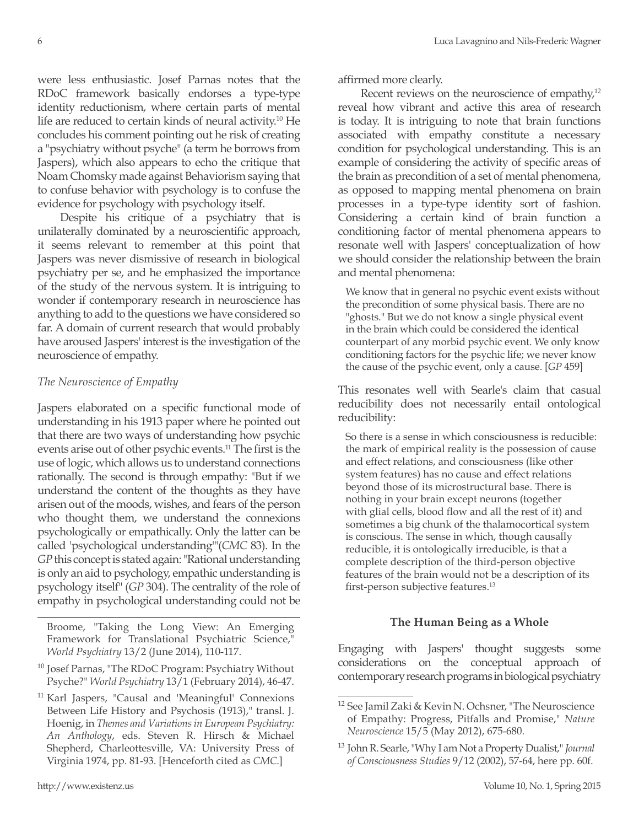were less enthusiastic. Josef Parnas notes that the RDoC framework basically endorses a type-type identity reductionism, where certain parts of mental life are reduced to certain kinds of neural activity.<sup>10</sup> He concludes his comment pointing out he risk of creating a "psychiatry without psyche" (a term he borrows from Jaspers), which also appears to echo the critique that Noam Chomsky made against Behaviorism saying that to confuse behavior with psychology is to confuse the evidence for psychology with psychology itself.

Despite his critique of a psychiatry that is unilaterally dominated by a neuroscientific approach, it seems relevant to remember at this point that Jaspers was never dismissive of research in biological psychiatry per se, and he emphasized the importance of the study of the nervous system. It is intriguing to wonder if contemporary research in neuroscience has anything to add to the questions we have considered so far. A domain of current research that would probably have aroused Jaspers' interest is the investigation of the neuroscience of empathy.

## *The Neuroscience of Empathy*

Jaspers elaborated on a specific functional mode of understanding in his 1913 paper where he pointed out that there are two ways of understanding how psychic events arise out of other psychic events.11 The first is the use of logic, which allows us to understand connections rationally. The second is through empathy: "But if we understand the content of the thoughts as they have arisen out of the moods, wishes, and fears of the person who thought them, we understand the connexions psychologically or empathically. Only the latter can be called 'psychological understanding'"(*CMC* 83). In the *GP* this concept is stated again: "Rational understanding is only an aid to psychology, empathic understanding is psychology itself" (*GP* 304). The centrality of the role of empathy in psychological understanding could not be

Broome, "Taking the Long View: An Emerging Framework for Translational Psychiatric Science," *World Psychiatry* 13/2 (June 2014), 110-117.

- <sup>10</sup> Josef Parnas, "The RDoC Program: Psychiatry Without Psyche?" *World Psychiatry* 13/1 (February 2014), 46-47.
- <sup>11</sup> Karl Jaspers, "Causal and 'Meaningful' Connexions Between Life History and Psychosis (1913)," transl. J. Hoenig, in *Themes and Variations in European Psychiatry: An Anthology*, eds. Steven R. Hirsch & Michael Shepherd, Charleottesville, VA: University Press of Virginia 1974, pp. 81-93. [Henceforth cited as *CMC*.]

affirmed more clearly.

Recent reviews on the neuroscience of empathy,<sup>12</sup> reveal how vibrant and active this area of research is today. It is intriguing to note that brain functions associated with empathy constitute a necessary condition for psychological understanding. This is an example of considering the activity of specific areas of the brain as precondition of a set of mental phenomena, as opposed to mapping mental phenomena on brain processes in a type-type identity sort of fashion. Considering a certain kind of brain function a conditioning factor of mental phenomena appears to resonate well with Jaspers' conceptualization of how we should consider the relationship between the brain and mental phenomena:

We know that in general no psychic event exists without the precondition of some physical basis. There are no "ghosts." But we do not know a single physical event in the brain which could be considered the identical counterpart of any morbid psychic event. We only know conditioning factors for the psychic life; we never know the cause of the psychic event, only a cause. [*GP* 459]

This resonates well with Searle's claim that casual reducibility does not necessarily entail ontological reducibility:

So there is a sense in which consciousness is reducible: the mark of empirical reality is the possession of cause and effect relations, and consciousness (like other system features) has no cause and effect relations beyond those of its microstructural base. There is nothing in your brain except neurons (together with glial cells, blood flow and all the rest of it) and sometimes a big chunk of the thalamocortical system is conscious. The sense in which, though causally reducible, it is ontologically irreducible, is that a complete description of the third-person objective features of the brain would not be a description of its first-person subjective features.<sup>13</sup>

## **The Human Being as a Whole**

Engaging with Jaspers' thought suggests some considerations on the conceptual approach of contemporary research programs in biological psychiatry

<sup>12</sup> See Jamil Zaki & Kevin N. Ochsner, "The Neuroscience of Empathy: Progress, Pitfalls and Promise," *Nature Neuroscience* 15/5 (May 2012), 675-680.

<sup>13</sup> John R. Searle, "Why I am Not a Property Dualist," *Journal of Consciousness Studies* 9/12 (2002), 57-64, here pp. 60f.